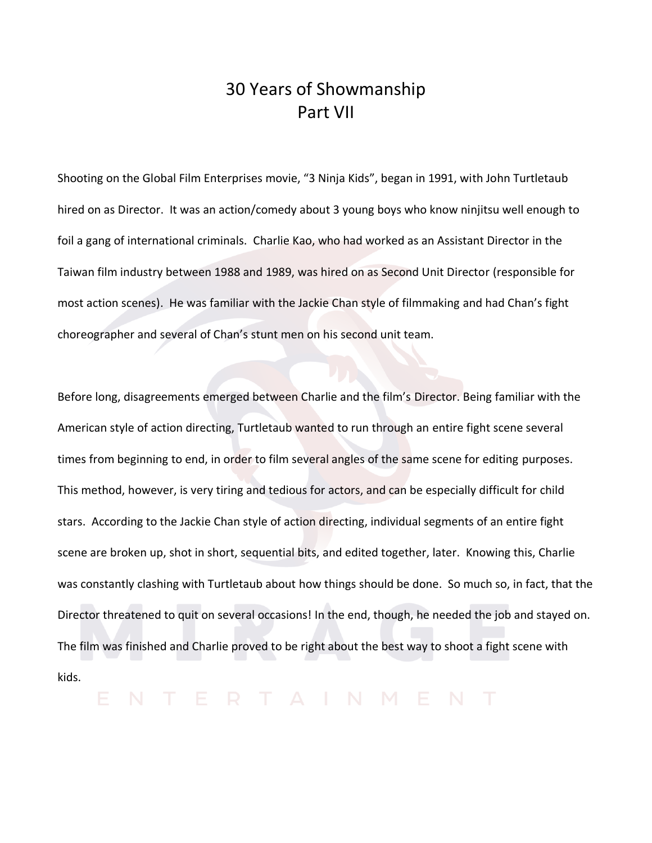## 30 Years of Showmanship Part VII

Shooting on the Global Film Enterprises movie, "3 Ninja Kids", began in 1991, with John Turtletaub hired on as Director. It was an action/comedy about 3 young boys who know ninjitsu well enough to foil a gang of international criminals. Charlie Kao, who had worked as an Assistant Director in the Taiwan film industry between 1988 and 1989, was hired on as Second Unit Director (responsible for most action scenes). He was familiar with the Jackie Chan style of filmmaking and had Chan's fight choreographer and several of Chan's stunt men on his second unit team.

Before long, disagreements emerged between Charlie and the film's Director. Being familiar with the American style of action directing, Turtletaub wanted to run through an entire fight scene several times from beginning to end, in order to film several angles of the same scene for editing purposes. This method, however, is very tiring and tedious for actors, and can be especially difficult for child stars. According to the Jackie Chan style of action directing, individual segments of an entire fight scene are broken up, shot in short, sequential bits, and edited together, later. Knowing this, Charlie was constantly clashing with Turtletaub about how things should be done. So much so, in fact, that the Director threatened to quit on several occasions! In the end, though, he needed the job and stayed on. The film was finished and Charlie proved to be right about the best way to shoot a fight scene with kids.

ENTERTAINMENT